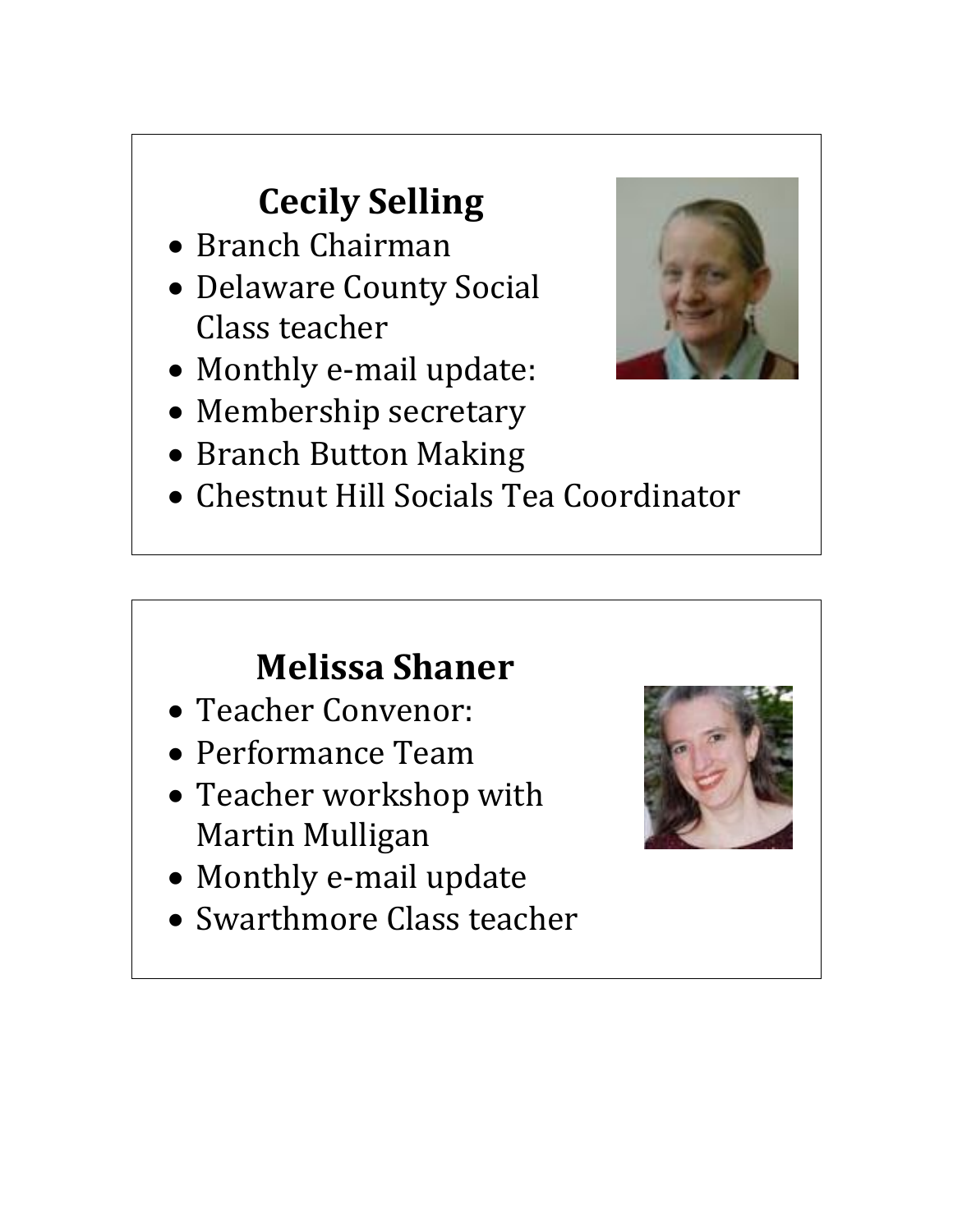# **Cecily Selling**

- Branch Chairman
- Delaware County Social Class teacher
- Monthly e-mail update:
- Membership secretary
- Branch Button Making
- Chestnut Hill Socials Tea Coordinator

### **Melissa Shaner**

- Teacher Convenor:
- Performance Team
- Teacher workshop with Martin Mulligan
- Monthly e-mail update
- Swarthmore Class teacher



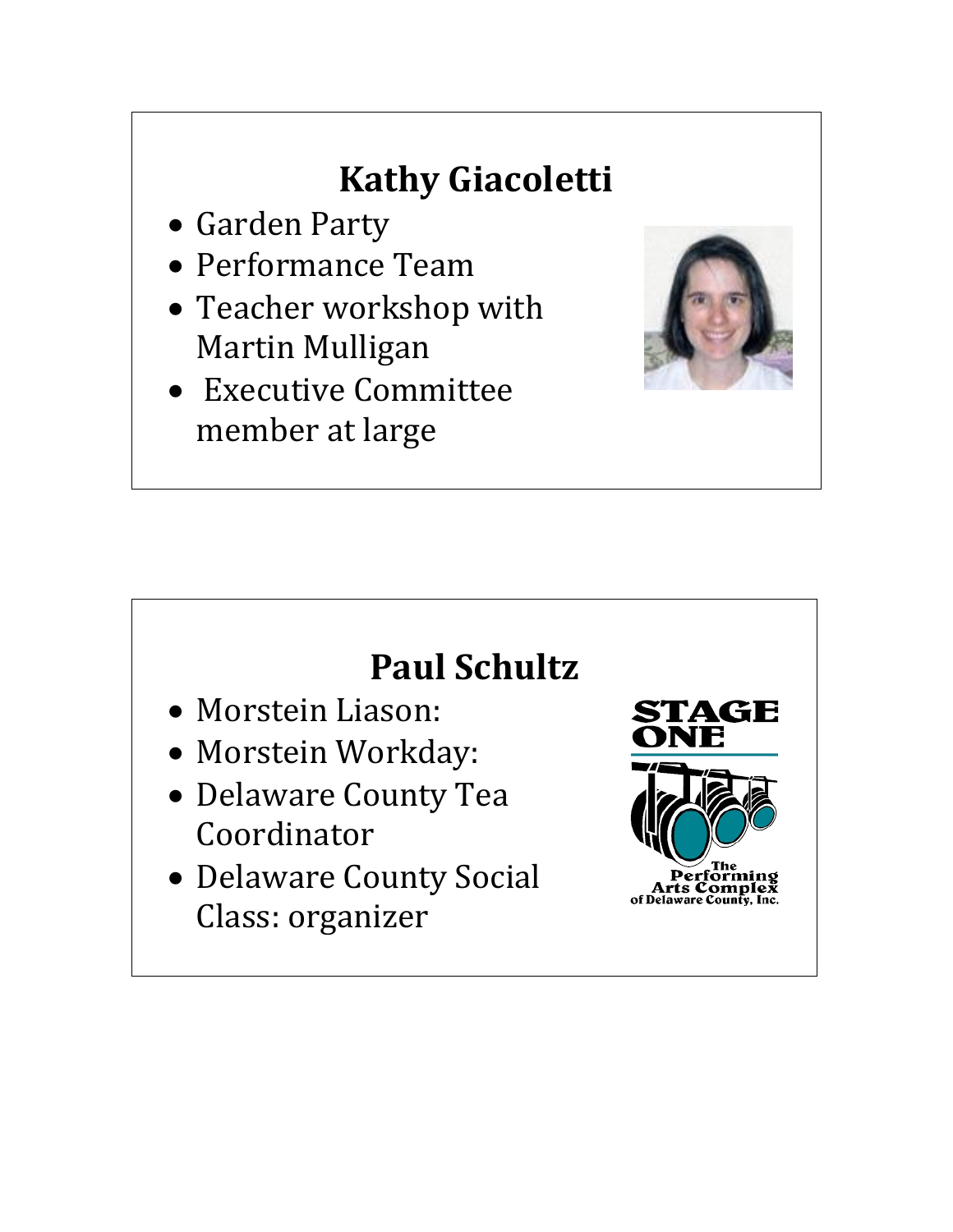# **Kathy Giacoletti**

- Garden Party
- Performance Team
- Teacher workshop with Martin Mulligan
- Executive Committee member at large



#### **Paul Schultz**

- Morstein Liason:
- Morstein Workday:
- Delaware County Tea Coordinator
- Delaware County Social Class: organizer

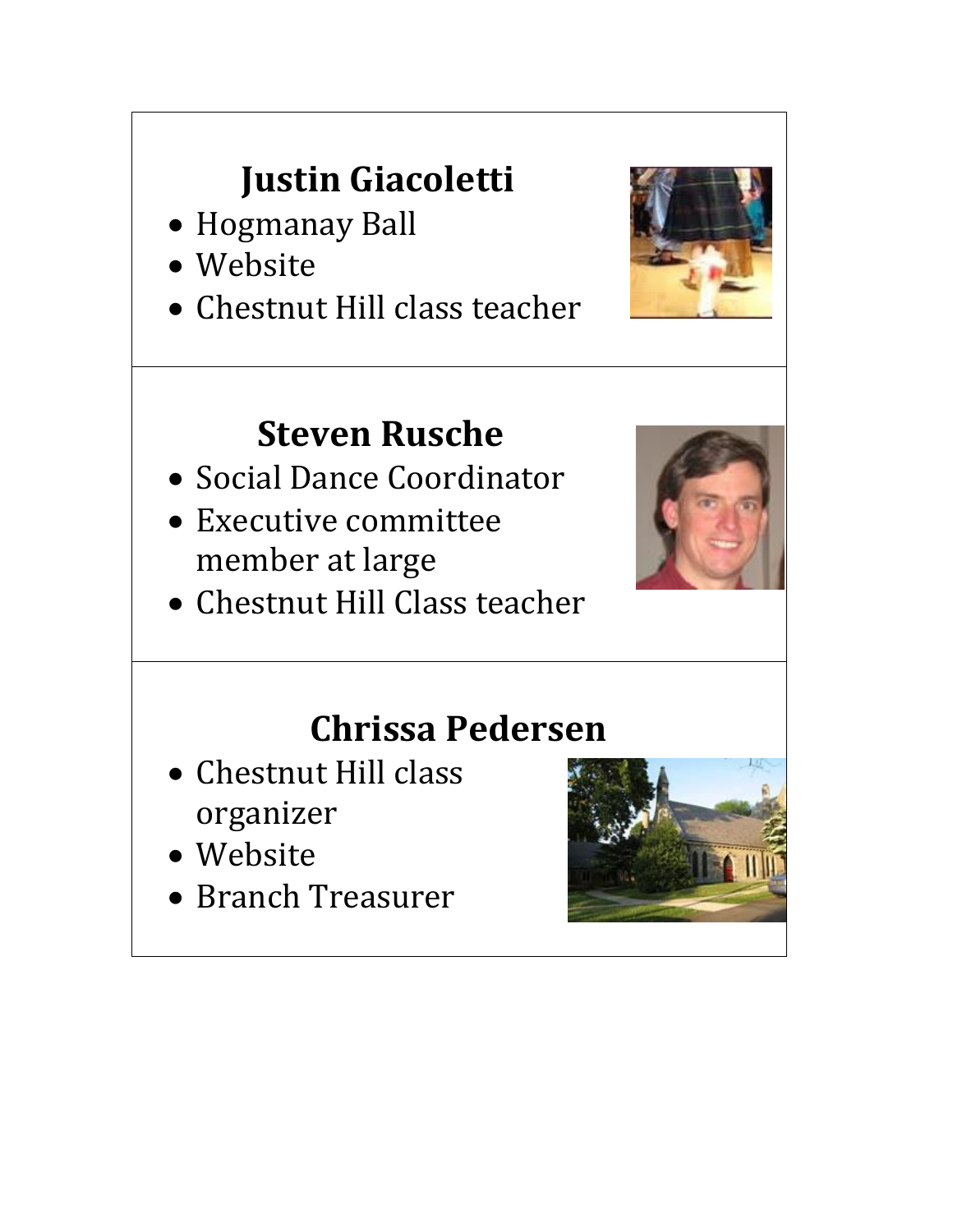# **Justin Giacoletti**

- Hogmanay Ball
- Website
- Chestnut Hill class teacher



#### **Steven Rusche**

- Social Dance Coordinator
- Executive committee member at large
- Chestnut Hill Class teacher



#### **Chrissa Pedersen**

- Chestnut Hill class organizer
- Website
- Branch Treasurer

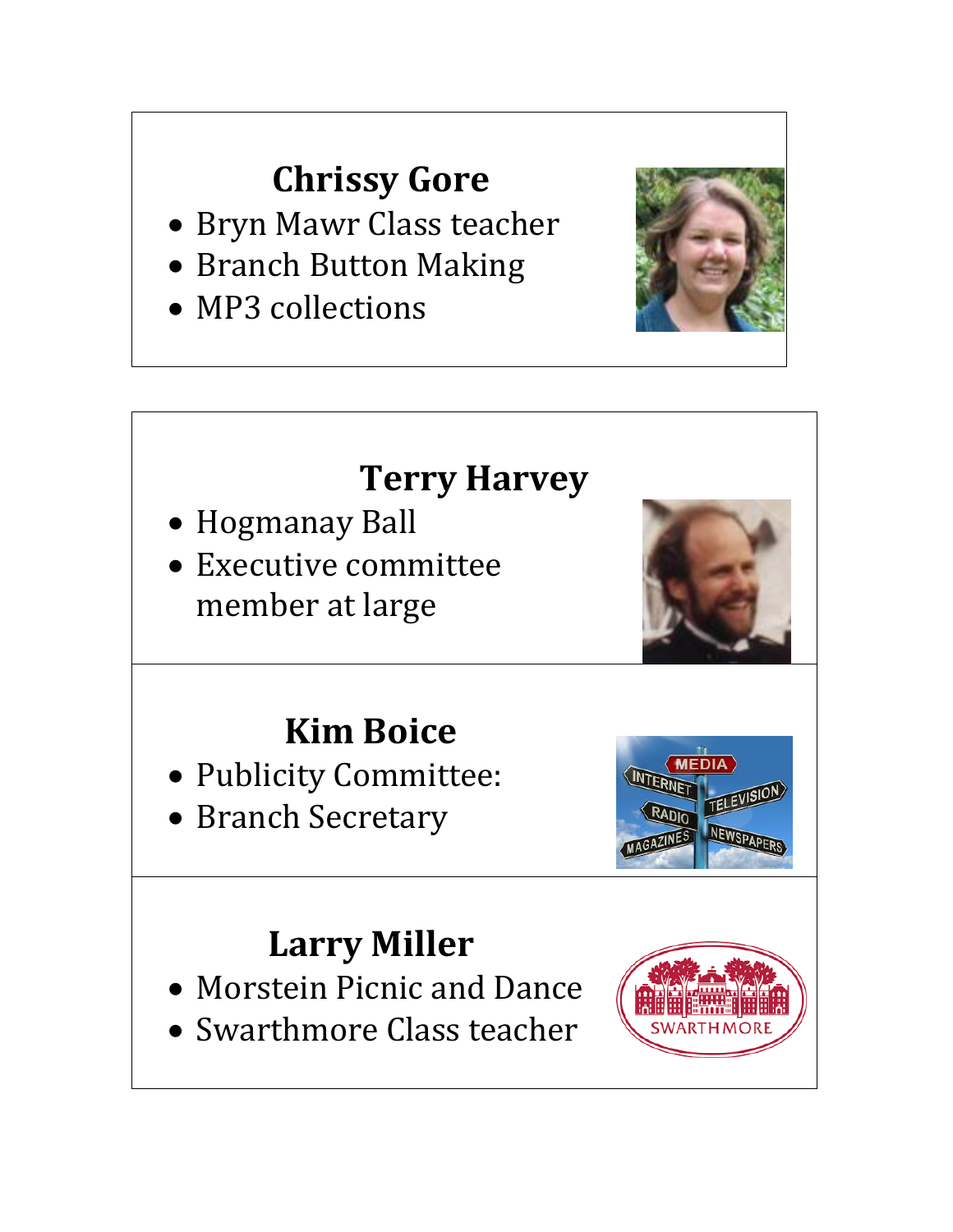## **Chrissy Gore**

- Bryn Mawr Class teacher
- Branch Button Making
- MP3 collections



## **Terry Harvey**

- Hogmanay Ball
- Executive committee member at large



# **Kim Boice**

- Publicity Committee:
- Branch Secretary

#### **Larry Miller**

- Morstein Picnic and Dance
- Swarthmore Class teacher

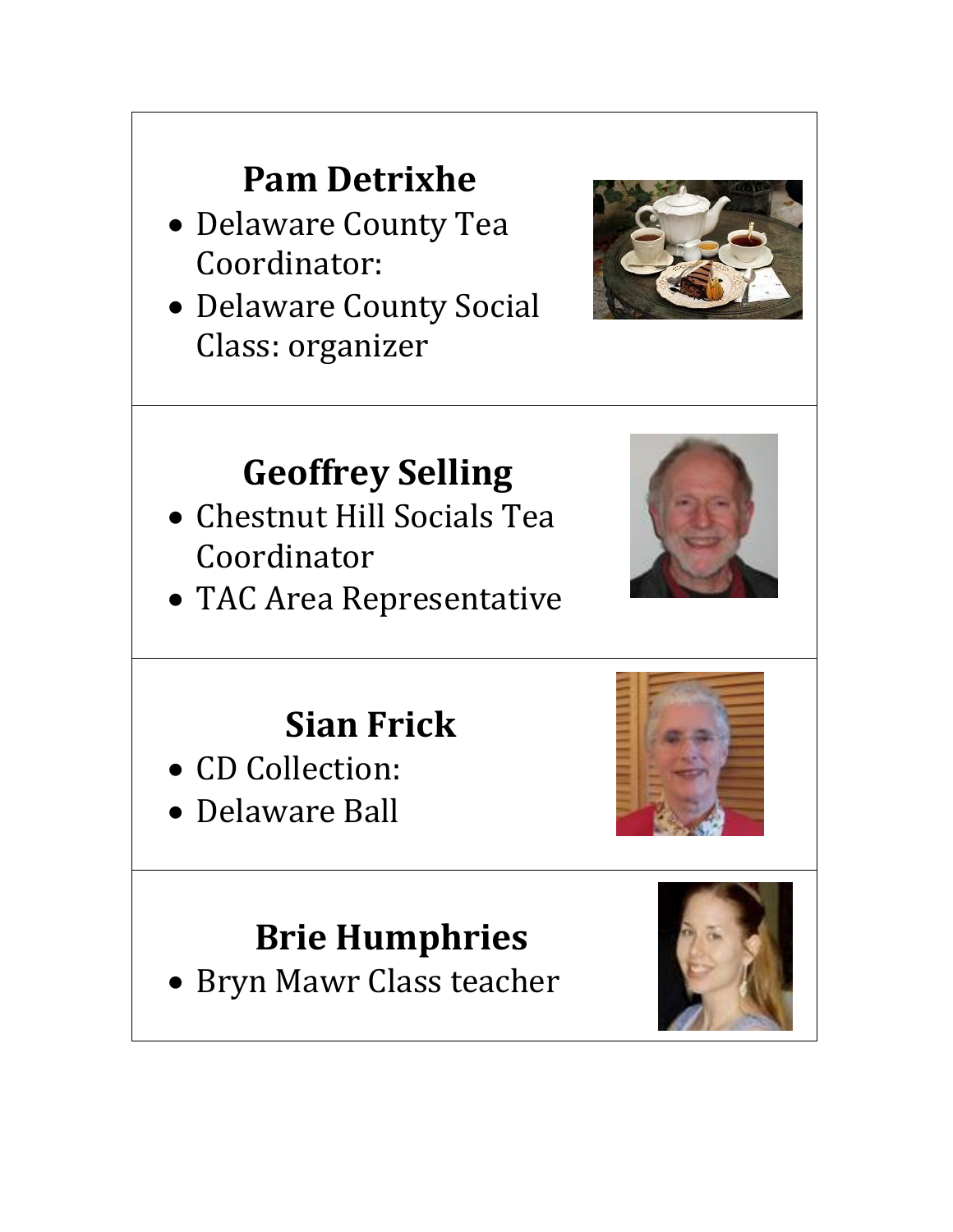## **Pam Detrixhe**

- Delaware County Tea Coordinator:
- Delaware County Social Class: organizer



### **Geoffrey Selling**

- Chestnut Hill Socials Tea Coordinator
- TAC Area Representative



## **Sian Frick**

- CD Collection:
- Delaware Ball



# **Brie Humphries**

Bryn Mawr Class teacher